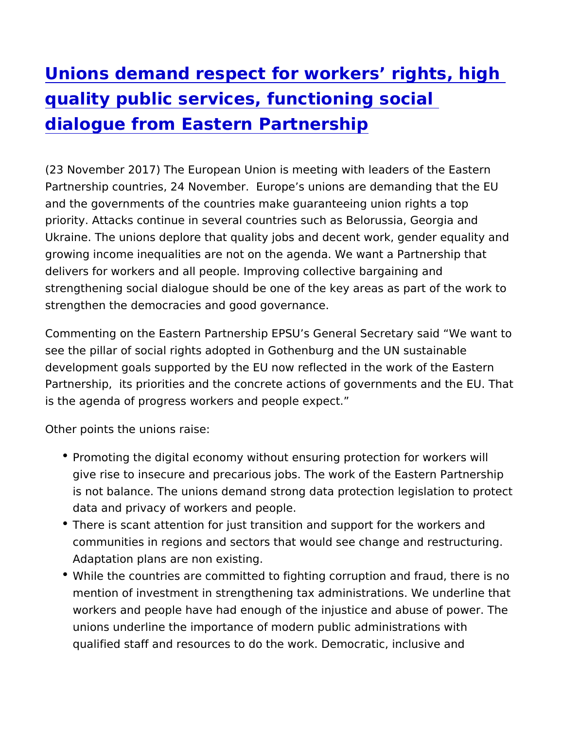## Unions demand respect for workers rights, [quality public services, functionin](https://www.epsu.org/article/unions-demand-respect-workers-rights-high-quality-public-services-functioning-social)g social [dialogue from Eastern Partn](https://www.epsu.org/article/unions-demand-respect-workers-rights-high-quality-public-services-functioning-social)ership

(23 November 2017) The European Union is meeting with leaders Partnership countries, 24 November. Europe s unions are demand and the governments of the countries make guaranteeing union rig priority. Attacks continue in several countries such as Belorussia Ukraine. The unions deplore that quality jobs and decent work, ge growing income inequalities are not on the agenda. We want a Pa delivers for workers and all people. Improving collective bargaini strengthening social dialogue should be one of the key areas as p strengthen the democracies and good governance.

Commenting on the Eastern Partnership EPSU s General Secretary see the pillar of social rights adopted in Gothenburg and the UN s development goals supported by the EU now reflected in the work Partnership, its priorities and the concrete actions of governmen is the agenda of progress workers and people expect.

Other points the unions raise:

- Promoting the digital economy without ensuring protection for give rise to insecure and precarious jobs. The work of the East is not balance. The unions demand strong data protection legi data and privacy of workers and people.
- There is scant attention for just transition and support for the communities in regions and sectors that would see change and Adaptation plans are non existing.
- \* While the countries are committed to fighting corruption and f mention of investment in strengthening tax administrations. W workers and people have had enough of the injustice and abus unions underline the importance of modern public administrati qualified staff and resources to do the work. Democratic, incl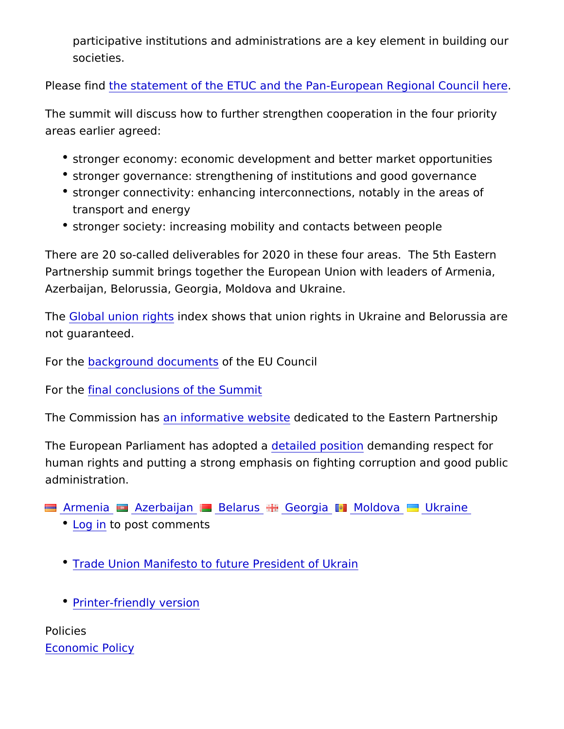participative institutions and administrations are a key elemer societies.

Please find statement of the ETUC and the Pan-European Regiona

The summit will discuss how to further strengthen cooperation in areas earlier agreed:

- \* stronger economy: economic development and better market op
- \* stronger governance: strengthening of institutions and good g
- stronger connectivity: enhancing interconnections, notably in transport and energy
- \* stronger society: increasing mobility and contacts between pe

There are 20 so-called deliverables for 2020 in these four areas. Partnership summit brings together the European Union with leade Azerbaijan, Belorussia, Georgia, Moldova and Ukraine.

Th[e Global union](https://survey.ituc-csi.org/?lang=en) rigdes shows that union rights in Ukraine and Bel not guaranteed.

For the ackground document the EU Council

For t[he final conclusions of th](http://www.consilium.europa.eu/en/press/press-releases/2017/11/24/eastern-partnership-summit-joint-declaration/)e Summit

The Commission in hars formative wed besolite ated to the Eastern Partners

The European Parliament has detailped dpaside manding respect for human rights and putting a strong emphasis on fighting corruption administration.

Armenia Azerbaijan Belarus Georgia Moldova Ukraine

- [Log](https://www.epsu.org/user/login?destination=/article/unions-demand-respect-workers-rights-high-quality-public-services-functioning-social#comment-form) ino post comments
- [Trade Union Manifesto to future Pre](https://www.epsu.org/sites/default/files/article/files/TU Manifesto to future President of Ukraine.pdf)sident of Ukrain
- [Printer-friendly](https://www.epsu.org/entityprint/pdf/node/10421) version

Policies [Economic P](https://www.epsu.org/policies/economic-policy)olicy